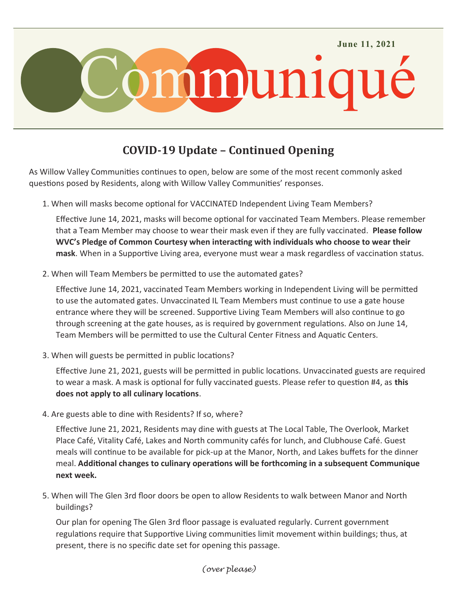

## **COVID-19 Update – Continued Opening**

As Willow Valley Communities continues to open, below are some of the most recent commonly asked questions posed by Residents, along with Willow Valley Communities' responses.

1. When will masks become optional for VACCINATED Independent Living Team Members?

Effective June 14, 2021, masks will become optional for vaccinated Team Members. Please remember that a Team Member may choose to wear their mask even if they are fully vaccinated. **Please follow WVC's Pledge of Common Courtesy when interacting with individuals who choose to wear their mask**. When in a Supportive Living area, everyone must wear a mask regardless of vaccination status.

2. When will Team Members be permitted to use the automated gates?

Effective June 14, 2021, vaccinated Team Members working in Independent Living will be permitted to use the automated gates. Unvaccinated IL Team Members must continue to use a gate house entrance where they will be screened. Supportive Living Team Members will also continue to go through screening at the gate houses, as is required by government regulations. Also on June 14, Team Members will be permitted to use the Cultural Center Fitness and Aquatic Centers.

3. When will guests be permitted in public locations?

Effective June 21, 2021, guests will be permitted in public locations. Unvaccinated guests are required to wear a mask. A mask is optional for fully vaccinated guests. Please refer to question #4, as **this does not apply to all culinary locations**.

4. Are guests able to dine with Residents? If so, where?

Effective June 21, 2021, Residents may dine with guests at The Local Table, The Overlook, Market Place Café, Vitality Café, Lakes and North community cafés for lunch, and Clubhouse Café. Guest meals will continue to be available for pick-up at the Manor, North, and Lakes buffets for the dinner meal. **Additional changes to culinary operations will be forthcoming in a subsequent Communique next week.**

5. When will The Glen 3rd floor doors be open to allow Residents to walk between Manor and North buildings?

Our plan for opening The Glen 3rd floor passage is evaluated regularly. Current government regulations require that Supportive Living communities limit movement within buildings; thus, at present, there is no specific date set for opening this passage.